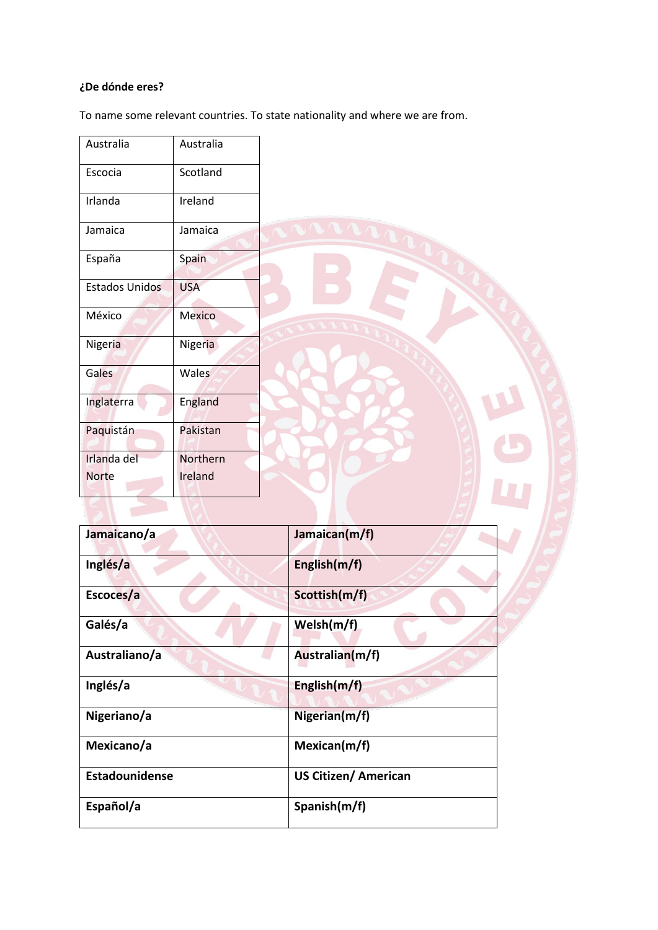# **¿De dónde eres?**

To name some relevant countries. To state nationality and where we are from.

| Australia             | Australia  |                             |
|-----------------------|------------|-----------------------------|
|                       |            |                             |
| Escocia               | Scotland   |                             |
| Irlanda               | Ireland    |                             |
| Jamaica               | Jamaica    | <b>NANA</b>                 |
| España                | Spain      |                             |
| <b>Estados Unidos</b> | <b>USA</b> |                             |
| México                | Mexico     |                             |
| <b>Nigeria</b>        | Nigeria    |                             |
| Gales                 | Wales      |                             |
| Inglaterra            | England    |                             |
| Paquistán             | Pakistan   |                             |
| Irlanda del           | Northern   |                             |
| <b>Norte</b>          | Ireland    |                             |
|                       |            |                             |
|                       |            |                             |
|                       |            |                             |
| Jamaicano/a           |            | Jamaican(m/f)               |
| Inglés/a              |            | English(m/f)                |
| Escoces/a             |            | Scottish(m/f)               |
| Galés/a               |            | Welsh(m/f)                  |
| Australiano/a         |            | Australian(m/f)             |
| Inglés/a              |            | English(m/f)                |
| Nigeriano/a           |            | Nigerian(m/f)               |
| Mexicano/a            |            | Mexican(m/f)                |
| Estadounidense        |            | <b>US Citizen/ American</b> |
| Español/a             |            | Spanish(m/f)                |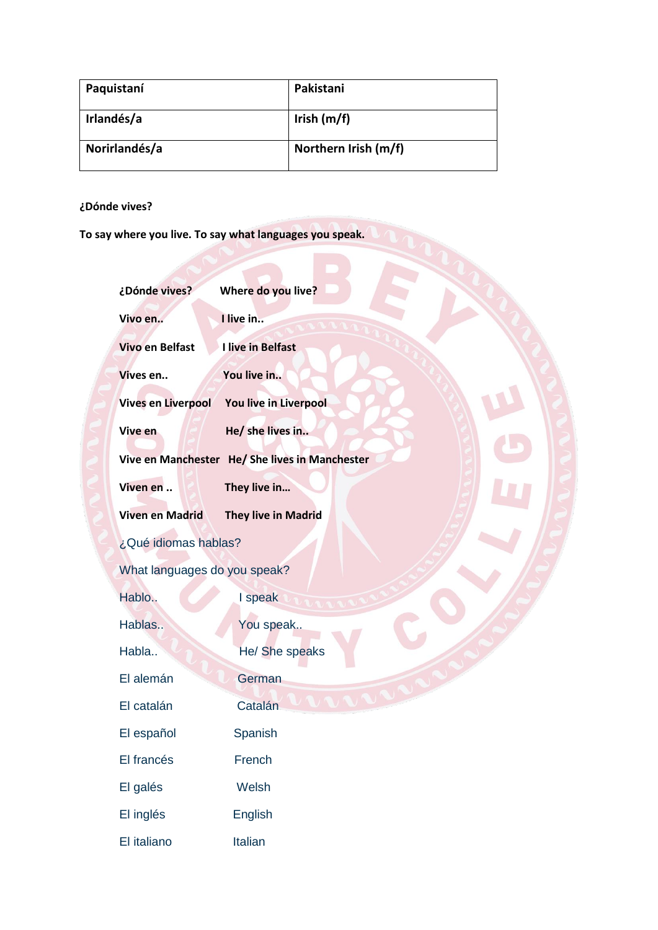| Paquistaní    | Pakistani            |
|---------------|----------------------|
| Irlandés/a    | Irish $(m/f)$        |
| Norirlandés/a | Northern Irish (m/f) |

**¿Dónde vives?** 

**To say where you live. To say what languages you speak.**

| ¿Dónde vives?                | Where do you live?                             |
|------------------------------|------------------------------------------------|
| Vivo en                      | I live in                                      |
| <b>Vivo en Belfast</b>       | I live in Belfast                              |
| Vives en                     | You live in                                    |
| <b>Vives en Liverpool</b>    | You live in Liverpool                          |
| Vive en                      | He/ she lives in                               |
|                              | Vive en Manchester He/ She lives in Manchester |
| Viven en                     | They live in                                   |
| <b>Viven en Madrid</b>       | <b>They live in Madrid</b>                     |
| ¿Qué idiomas hablas?         |                                                |
| What languages do you speak? |                                                |
| Hablo                        | I speak                                        |
| Hablas                       | You speak                                      |
| Habla                        | He/ She speaks                                 |
| El alemán                    | German                                         |
| El catalán                   | Catalán                                        |
| El español                   | Spanish                                        |
| El francés                   | French                                         |
| El galés                     | Welsh                                          |
| El inglés                    | English                                        |
| El italiano                  | Italian                                        |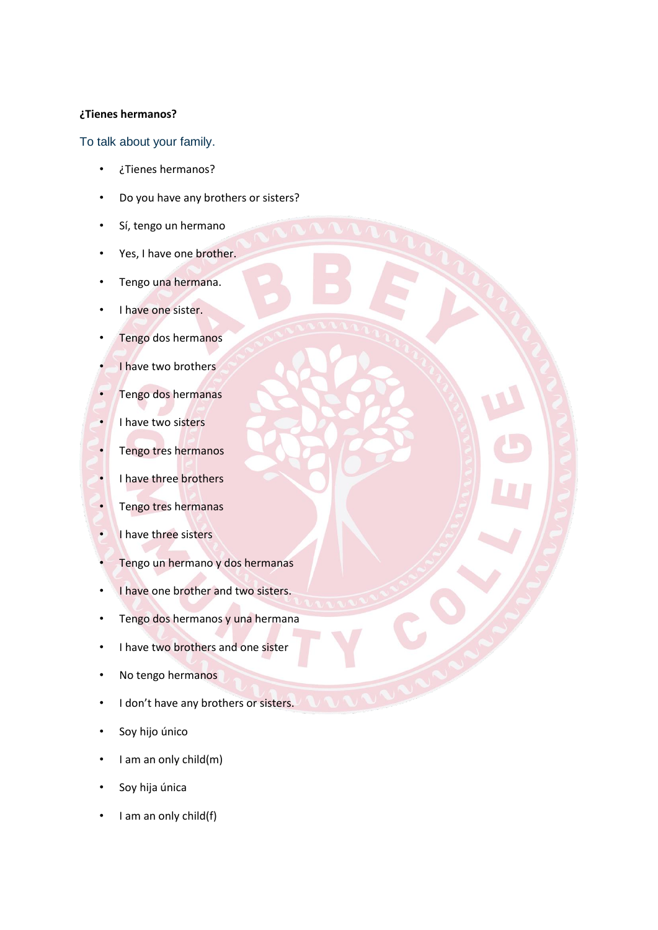### **¿Tienes hermanos?**

To talk about your family.

- ¿Tienes hermanos?
- Do you have any brothers or sisters?
- Sí, tengo un hermano
- Yes, I have one brother.
- Tengo una hermana.
- I have one sister.
- Tengo dos hermanos
- I have two brothers
- Tengo dos hermanas
- I have two sisters
- Tengo tres hermanos
- I have three brothers
- Tengo tres hermanas
- I have three sisters
- Tengo un hermano y dos hermanas
- I have one brother and two sisters.
- Tengo dos hermanos y una hermana
- I have two brothers and one sister
- No tengo hermanos
- I don't have any brothers or sisters.
- Soy hijo único
- I am an only child(m)
- Soy hija única
- I am an only child(f)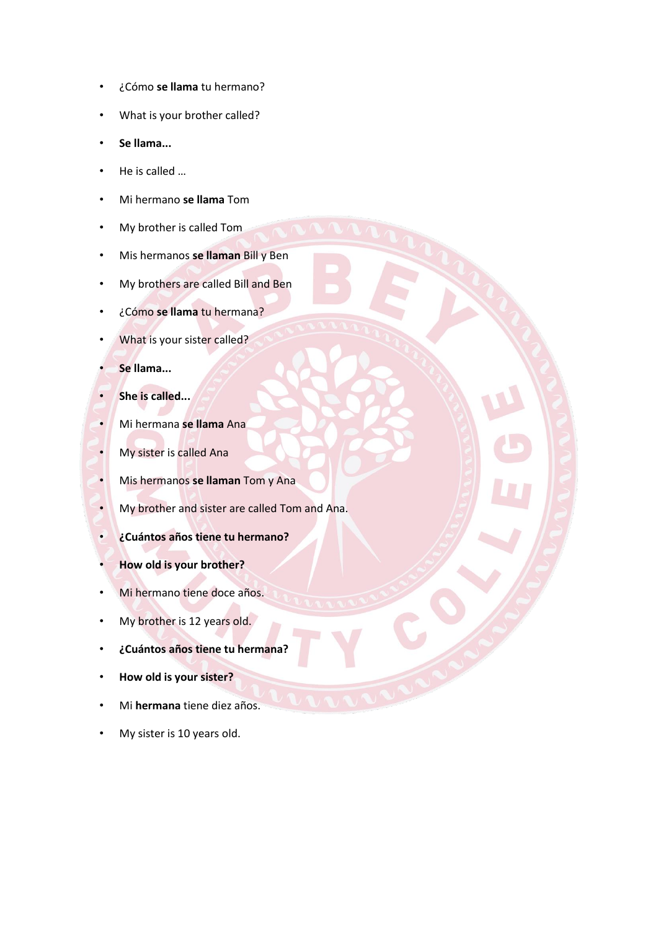- ¿Cómo **se llama** tu hermano?
- What is your brother called?
- **Se llama...**
- He is called …
- Mi hermano **se llama** Tom
- My brother is called Tom
- Mis hermanos **se llaman** Bill y Ben
- My brothers are called Bill and Ben
- ¿Cómo **se llama** tu hermana?
- What is your sister called?
- **Se llama...**
- **She is called...**
- Mi hermana **se llama** Ana
- My sister is called Ana
- Mis hermanos **se llaman** Tom y Ana
- My brother and sister are called Tom and Ana.
- **¿Cuántos años tiene tu hermano?**
- **How old is your brother?**
- Mi hermano tiene doce años.
- My brother is 12 years old.
- **¿Cuántos años tiene tu hermana?**
- **How old is your sister?**
- Mi **hermana** tiene diez años.
- My sister is 10 years old.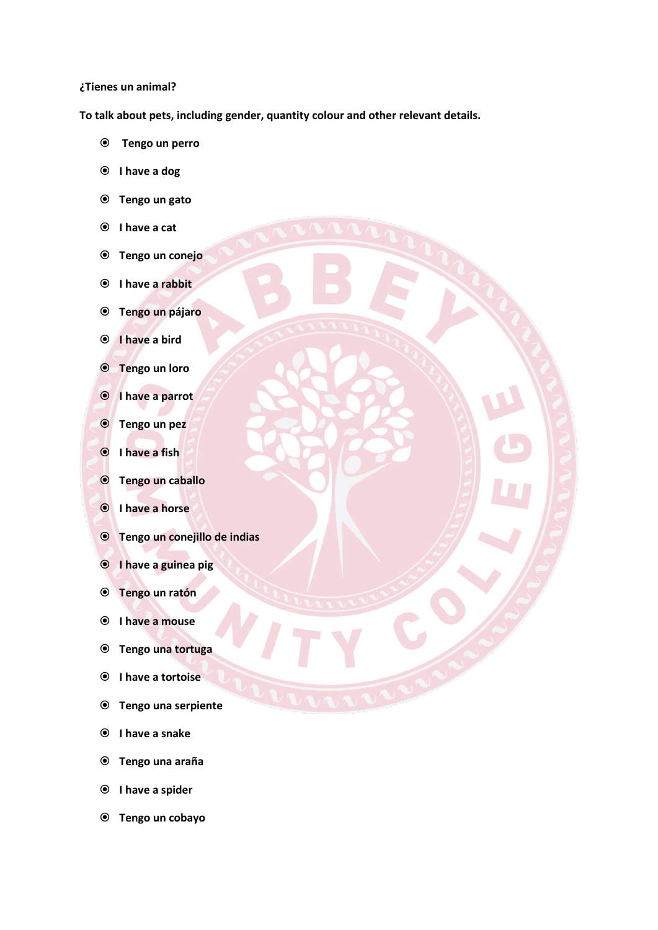#### **¿Tienes un animal?**

**To talk about pets, including gender, quantity colour and other relevant details.** 

- **Tengo un perro**
- **I have a dog**
- **Tengo un gato**
- **I have a cat**
- **Tengo un conejo**
- **I have a rabbit**
- **Tengo un pájaro**
- **I have a bird**
- **Tengo un loro**
- **I have a parrot**
- **Tengo un pez**
- **I have a fish**
- **Tengo un caballo**
- **I have a horse**
- **Tengo un conejillo de indias**
- **I have a guinea pig**
- **Tengo un ratón**
- **I have a mouse**
- **Tengo una tortuga**
- **I have a tortoise**
- **Tengo una serpiente**
- **I have a snake**
- **Tengo una araña**
- **I have a spider**
- **Tengo un cobayo**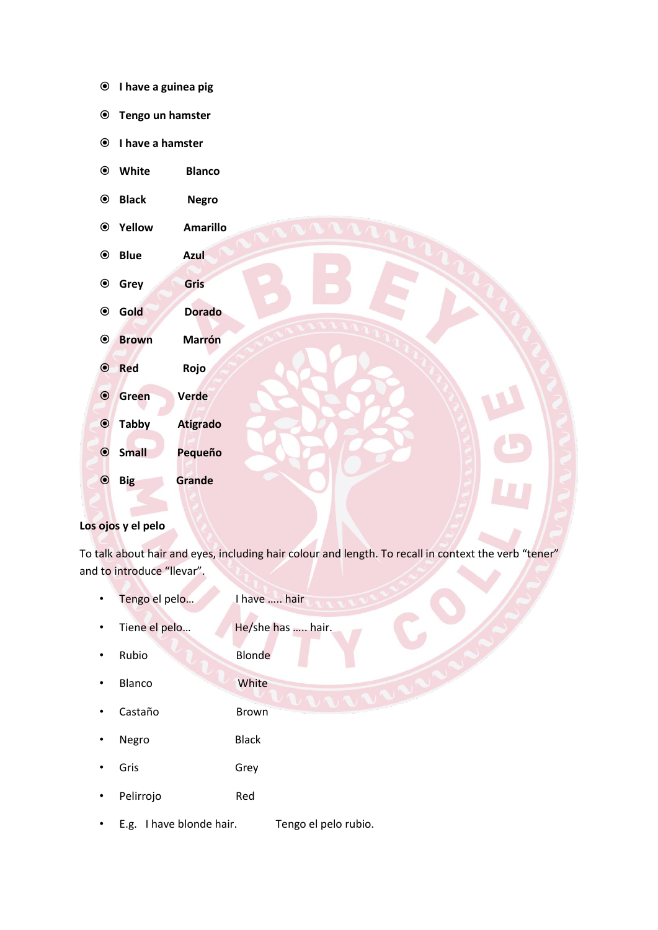|  |  | <sup>●</sup> I have a guinea pig |  |
|--|--|----------------------------------|--|
|--|--|----------------------------------|--|

- **Tengo un hamster**
- **I have a hamster**
- **White Blanco**
- **Black Negro**
- **Yellow Amarillo**
- **Blue Azul**
- **Grey Gris**
- **Gold Dorado**
- **Brown Marrón**
- **Red Rojo Green Verde**
- **Tabby Atigrado Small Pequeño**

**Big Grande**

## **Los ojos y el pelo**

To talk about hair and eyes, including hair colour and length. To recall in context the verb "tener" and to introduce "llevar".

- Tengo el pelo... I have ..... hair
	-
- Tiene el pelo... He/she has ..... hair.
- Rubio Blonde
- **Blanco** White
- Castaño Brown
- Negro Black
- Gris Grey
- Pelirrojo Red
- E.g. I have blonde hair. Tengo el pelo rubio.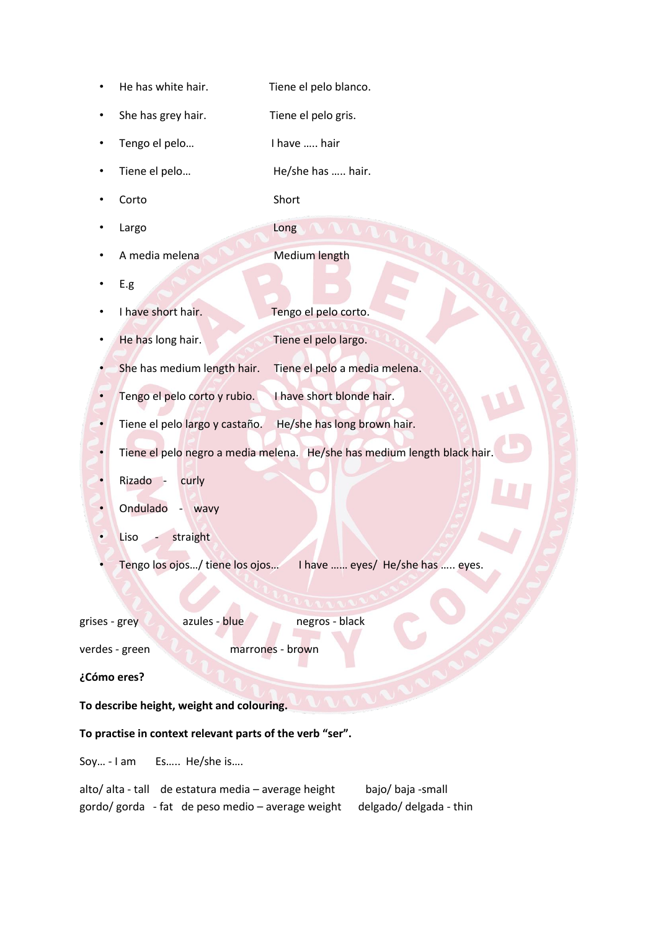- He has white hair. Tiene el pelo blanco.
- She has grey hair. Tiene el pelo gris.
- Tengo el pelo... I have ..... hair
- Tiene el pelo... He/she has ..... hair.
- Corto Short
- Largo Long
- A media melena Medium length
- E.g
- I have short hair. Tengo el pelo corto.
- 
- 
- He has long hair. Tiene el pelo largo.
- She has medium length hair. Tiene el pelo a media melena.
- Tengo el pelo corto y rubio. I have short blonde hair.
- Tiene el pelo largo y castaño. He/she has long brown hair.
- Tiene el pelo negro a media melena. He/she has medium length black hair.
- Rizado curly
- Ondulado wavy
- Liso straight
- Tengo los ojos…/ tiene los ojos… I have …… eyes/ He/she has ….. eyes.

| grises - grey | azules - blue | negros - black |
|---------------|---------------|----------------|
|               |               |                |

verdes - green marrones - brown

**¿Cómo eres?** 

## **To describe height, weight and colouring.**

## **To practise in context relevant parts of the verb "ser".**

Soy… - I am Es….. He/she is….

|  | alto/ alta - tall de estatura media - average height                    | bajo/ baja -small |
|--|-------------------------------------------------------------------------|-------------------|
|  | gordo/gorda - fat de peso medio - average weight delgado/delgada - thin |                   |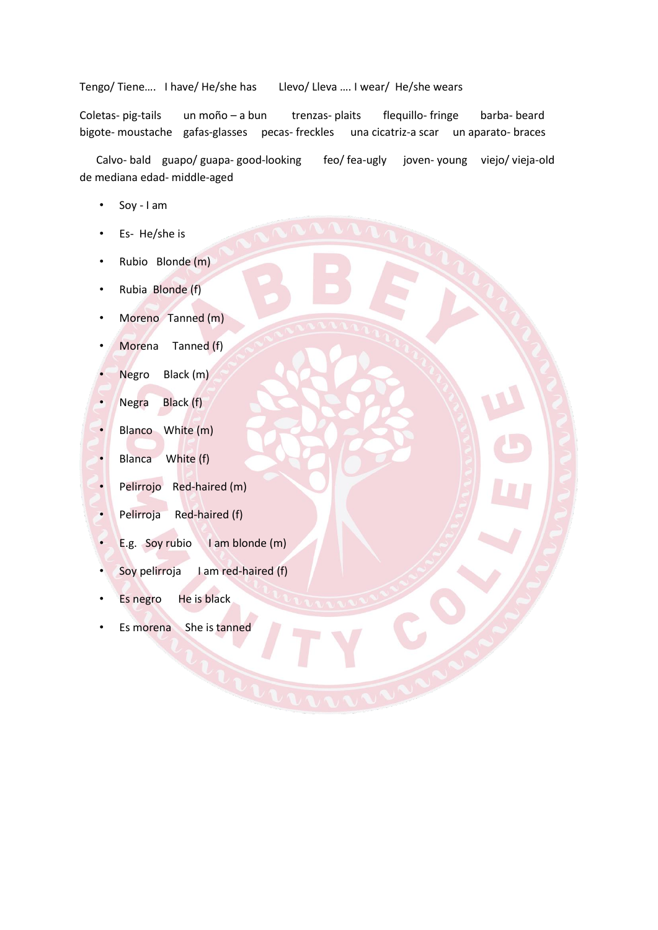### Tengo/ Tiene…. I have/ He/she has Llevo/ Lleva …. I wear/ He/she wears

Coletas- pig-tails un moño – a bun trenzas- plaits flequillo- fringe barba- beard bigote- moustache gafas-glasses pecas- freckles una cicatriz-a scar un aparato- braces

 Calvo- bald guapo/ guapa- good-looking feo/ fea-ugly joven- young viejo/ vieja-old de mediana edad- middle-aged

- Soy I am
- Es- He/she is
- Rubio Blonde (m)
- Rubia Blonde (f)
- Moreno Tanned (m)
- Morena Tanned (f)
- Negro Black (m)
- Negra Black (f)
- Blanco White (m)
- Blanca White (f)
- Pelirrojo Red-haired (m)
- Pelirroja Red-haired (f)
- E.g. Soy rubio I am blonde (m)
- Soy pelirroja I am red-haired (f)
- Es negro He is black
- Es morena She is tanned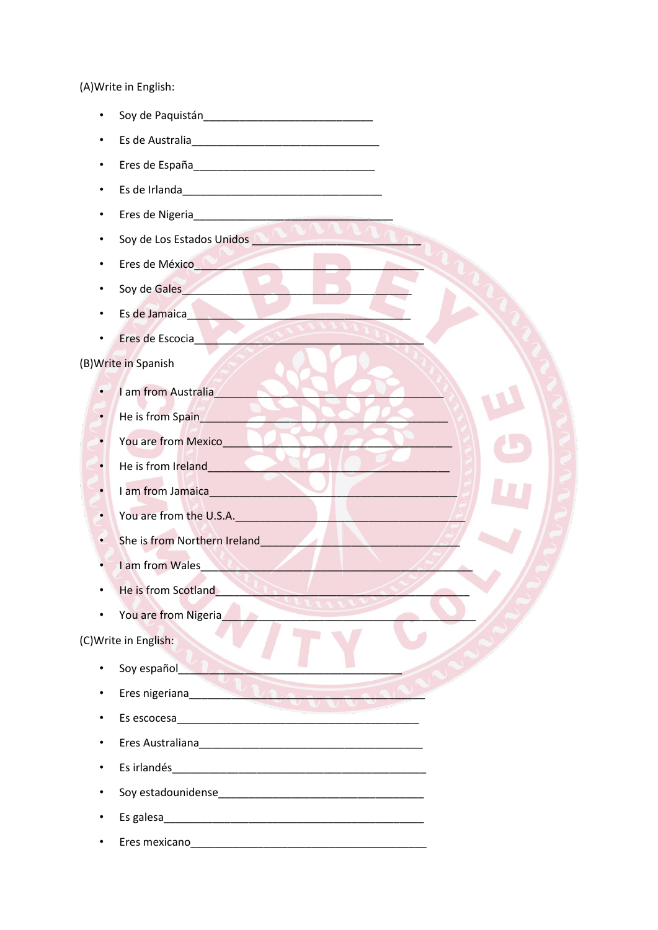(A) Write in English:

- 
- Es de Australia de la constitución de la constitución de la constitución de la constitución de la constitución
- Eres de España<br>
Fres de España
- 
- Eres de Nigeria
- Soy de Los Estados Unidos
- Eres de México
- Soy de Gales
- Es de Jamaica<br>
The Samuel Contract of the Samuel Contract of the Samuel Contract of the Samuel Contract of the Samuel Contract of the Samuel Contract of the Samuel Contract of the Samuel Contract of the Samuel Contract of
- Eres de Escocia **Contracto de Contracto de Contracto de Contracto de Contracto de Contracto de Contracto de Co**

(B) Write in Spanish

- I am from Australia
- He is from Spain
- You are from Mexico  $\bullet$
- He is from Ireland  $\bullet$
- **I am from Jamaica**  $\bullet$
- You are from the U.S.A.  $\bullet$
- She is from Northern Ireland

 $\mathcal{U}$ 

- $\bullet$ I am from Wales
- He is from Scotland
- You are from Nigeria  $\bullet$

### (C) Write in English:

- Soy español
- Eres nigeriana and the contract of the contract of the contract of the contract of the contract of the contract of the contract of the contract of the contract of the contract of the contract of the contract of the contrac
- Es escocesa en la contradición de la contradición de la contradición de la contradición de la contradición de la contradición de la contradición de la contradición de la contradición de la contradición de la contradición
- Eres Australiana et al. et al. et al. et al. et al. et al. et al. et al. et al. et al. et al. et al. et al.
- Es irlandés
- 
- 
- Eres mexicano e a contra a contra a contra a contra a contra a contra a contra a contra a contra a contra a co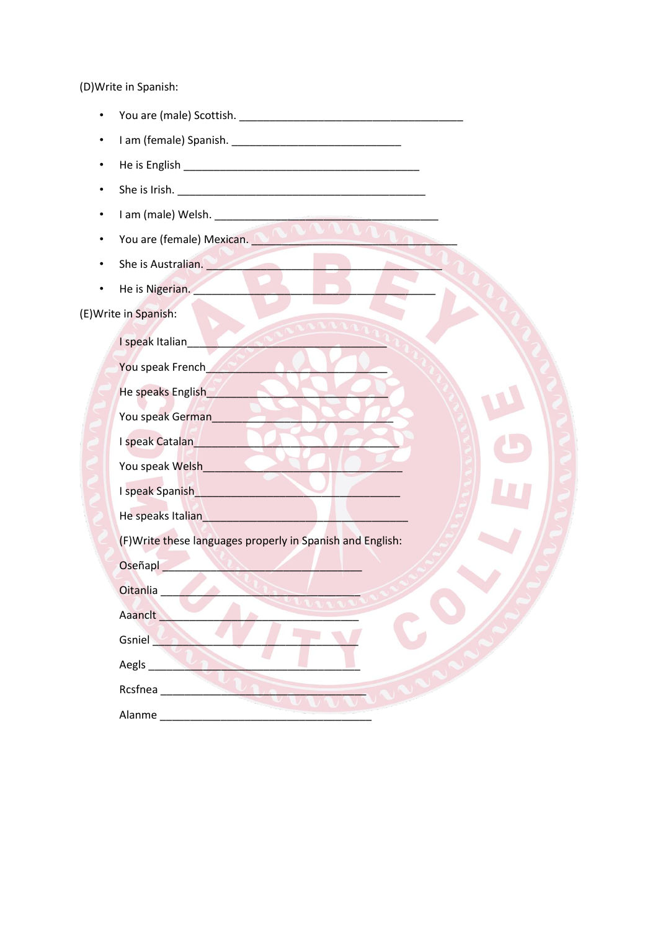(D) Write in Spanish:

- $\bullet$
- $\bullet$
- $\bullet$
- $\bullet$
- 
- You are (female) Mexican.
- She is Australian.  $\bullet$
- He is Nigerian.  $\bullet$

(E) Write in Spanish:

|          | I speak Italian_                                                                                                                                                                                                                 |
|----------|----------------------------------------------------------------------------------------------------------------------------------------------------------------------------------------------------------------------------------|
|          | You speak French                                                                                                                                                                                                                 |
|          | He speaks English                                                                                                                                                                                                                |
|          | You speak German                                                                                                                                                                                                                 |
|          | I speak Catalan                                                                                                                                                                                                                  |
|          | You speak Welsh                                                                                                                                                                                                                  |
|          | I speak Spanish<br>Letter and the speak of the speak of the speak of the speak of the speak of the speak of the speak of the speak of the speak of the speak of the speak of the speak of the speak of the speak of the speak of |
|          | He speaks Italian Management and the speaks Italian                                                                                                                                                                              |
|          | (F) Write these languages properly in Spanish and English:                                                                                                                                                                       |
| Oseñapl  | $\mathcal{L}(\mathbf{x}) = \mathcal{L}(\mathbf{x})$                                                                                                                                                                              |
| Oitanlia |                                                                                                                                                                                                                                  |
| Aaanclt_ |                                                                                                                                                                                                                                  |
| Gsniel   |                                                                                                                                                                                                                                  |
|          |                                                                                                                                                                                                                                  |
|          | Rcsfnea                                                                                                                                                                                                                          |
| Alanme   |                                                                                                                                                                                                                                  |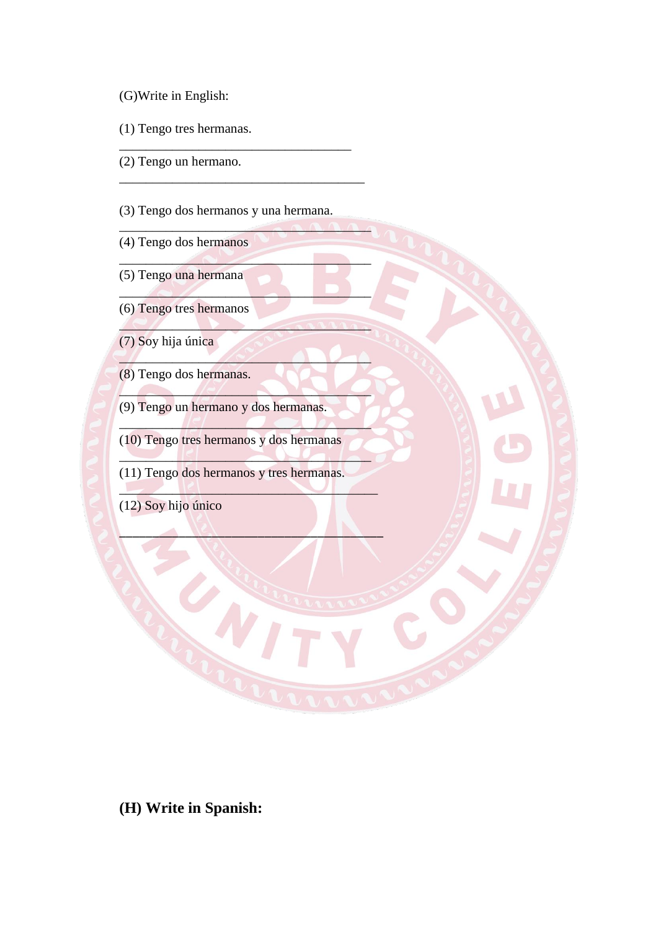- (G)Write in English:
- (1) Tengo tres hermanas.
- (2) Tengo un hermano.
- (3) Tengo dos hermanos y una hermana.

\_\_\_\_\_\_\_\_\_\_\_\_\_\_\_\_\_\_\_\_\_\_\_\_\_\_\_\_\_\_\_\_\_\_\_

\_\_\_\_\_\_\_\_\_\_\_\_\_\_\_\_\_\_\_\_\_\_\_\_\_\_\_\_\_\_\_\_\_\_\_\_\_

 $\overline{\phantom{a}}$ 

 $\qquad \qquad \qquad \qquad \qquad \qquad$ 

 $\mathcal{L}$  , and  $\mathcal{L}$ 

 $\sim$ 

 $\mathcal{L}$ 

 $\Box$ 

 $\Box$ 

 $\Box$ 

 $\Box$ 

 $\Box$ 

- (4) Tengo dos hermanos
- (5) Tengo una hermana
- (6) Tengo tres hermanos
- (7) Soy hija única
- (8) Tengo dos hermanas.
- (9) Tengo un hermano y dos hermanas.
- (10) Tengo tres hermanos y dos hermanas
- (11) Tengo dos hermanos y tres hermanas.
- (12) Soy hijo único

**(H) Write in Spanish:**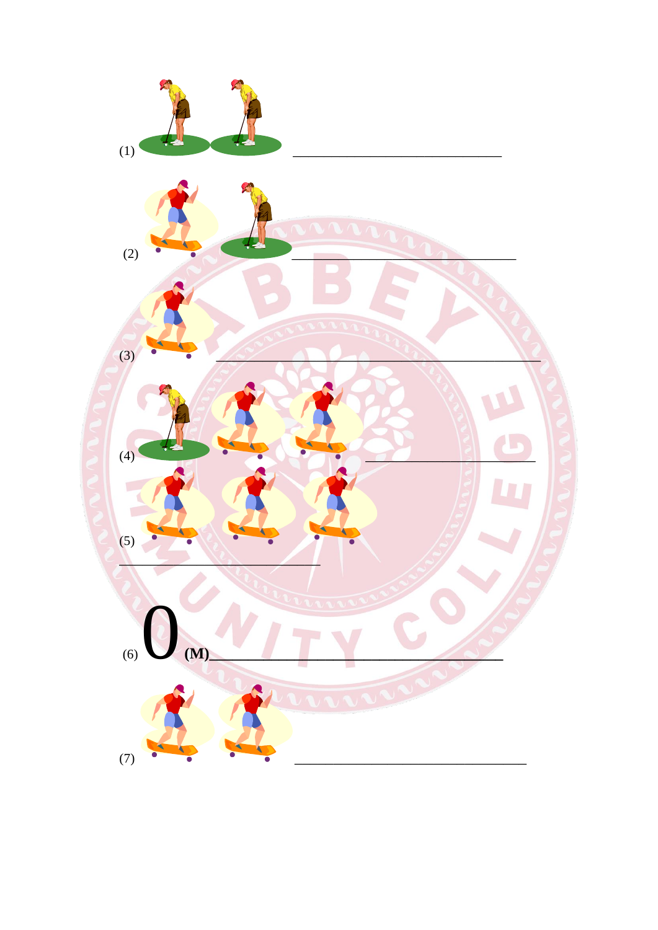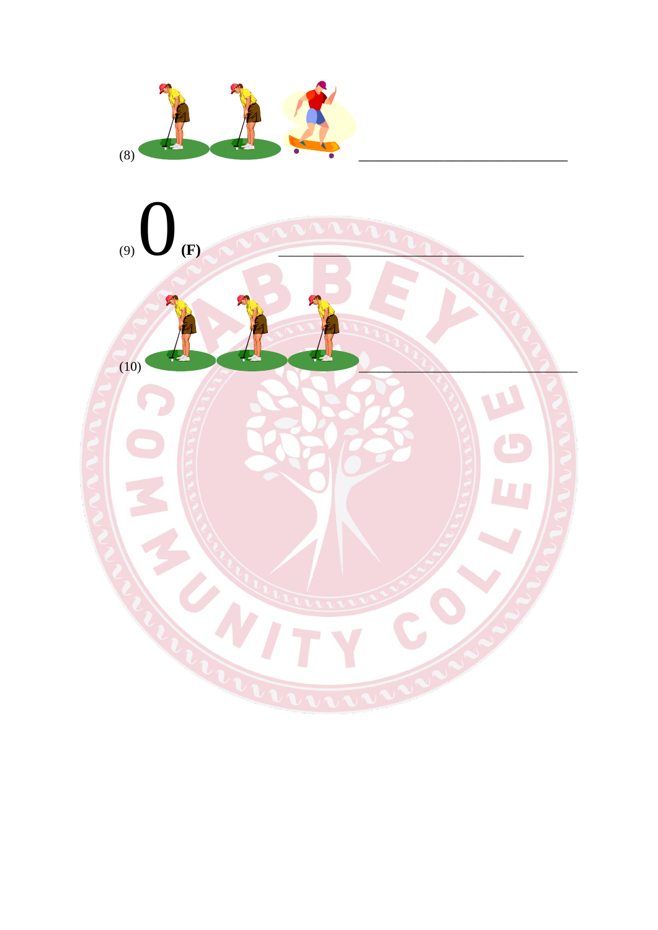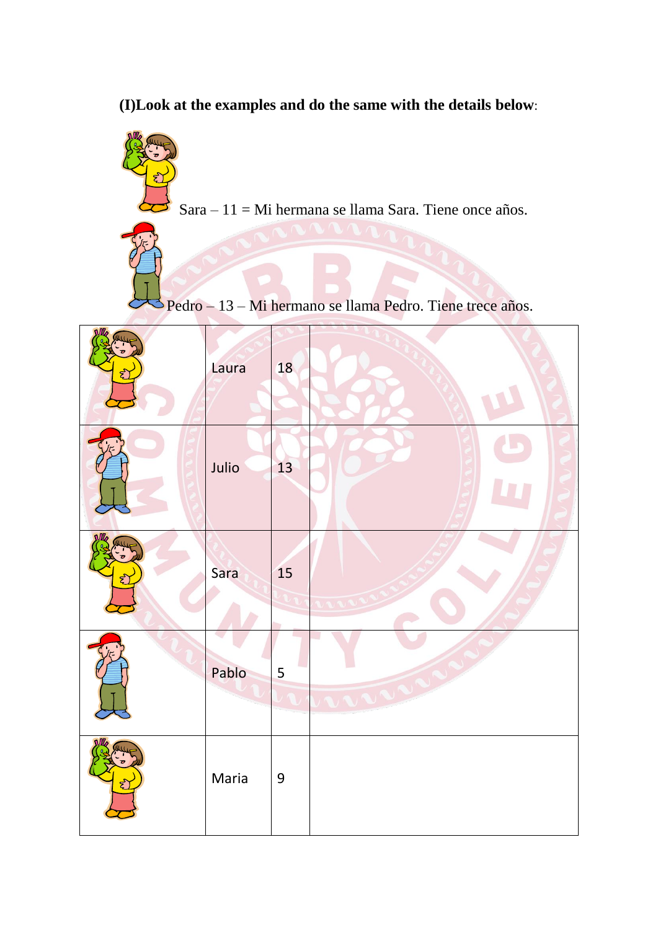**(I)Look at the examples and do the same with the details below**:



Sara – 11 = Mi hermana se llama Sara. Tiene once años.

Pedro – 13 – Mi hermano se llama Pedro. Tiene trece años.

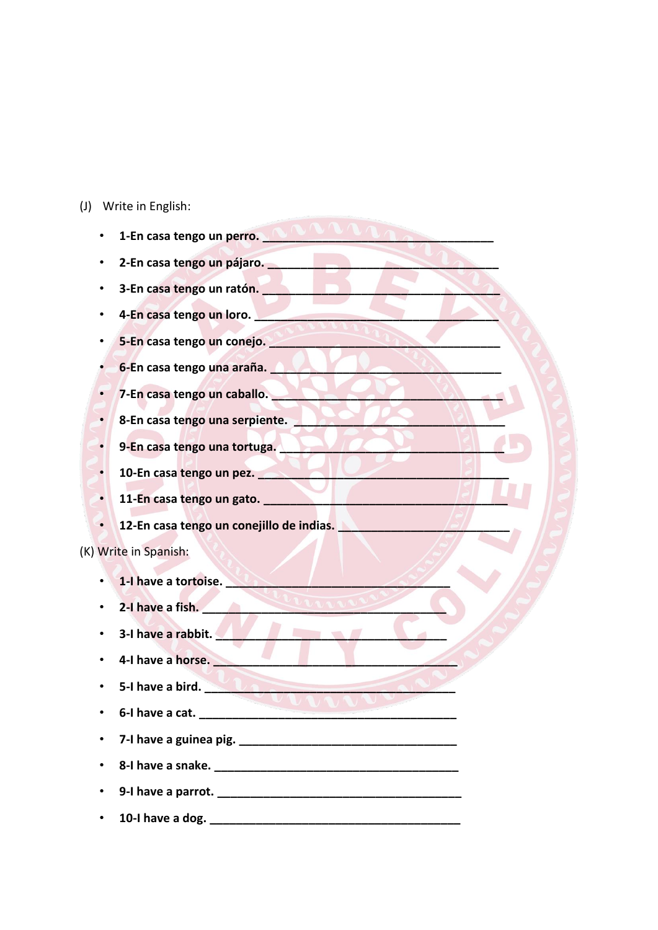(J) Write in English:

| 1-En casa tengo un perro.                                                            |
|--------------------------------------------------------------------------------------|
| 2-En casa tengo un pájaro.<br><u>La propinsa de la paíse de la paradi</u>            |
| 3-En casa tengo un ratón.                                                            |
| 4-En casa tengo un loro.                                                             |
| 5-En casa tengo un conejo.                                                           |
| 6-En casa tengo una araña.                                                           |
| 7-En casa tengo un caballo.                                                          |
| 8-En casa tengo una serpiente.                                                       |
| 9-En casa tengo una tortuga.                                                         |
| 10-En casa tengo un pez.                                                             |
|                                                                                      |
| 12-En casa tengo un conejillo de indias.<br>12-En casa tengo un conejillo de indias. |
| (K) Write in Spanish:                                                                |
| 1-I have a tortoise.                                                                 |
| 2-I have a fish.                                                                     |
| 3-I have a rabbit.                                                                   |
| 4-I have a horse.                                                                    |
| 5-I have a bird.                                                                     |
| 6-I have a cat.                                                                      |
|                                                                                      |
|                                                                                      |
|                                                                                      |
|                                                                                      |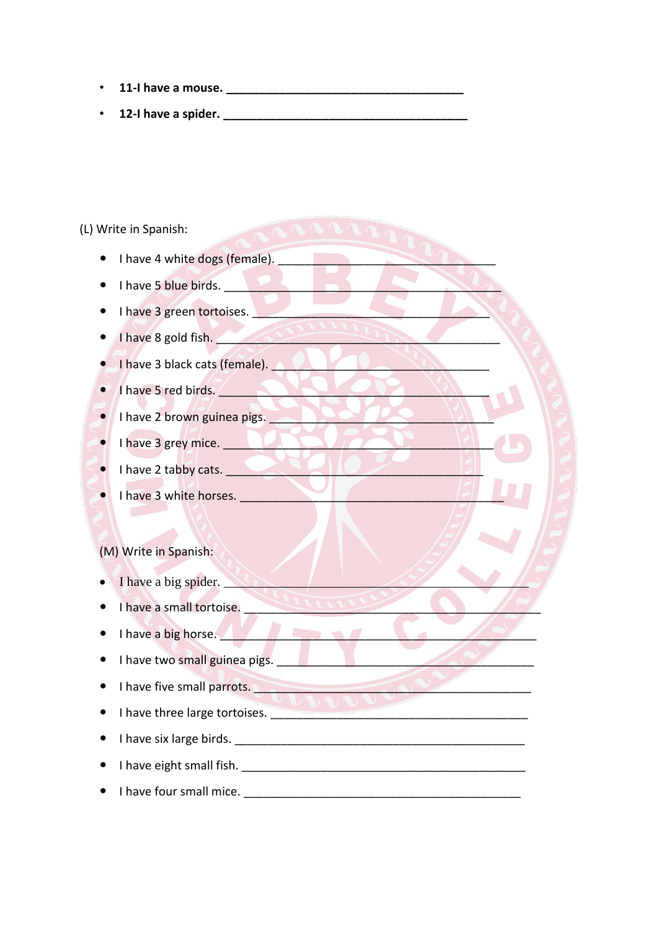- **11-I have a mouse. \_\_\_\_\_\_\_\_\_\_\_\_\_\_\_\_\_\_\_\_\_\_\_\_\_\_\_\_\_\_\_\_\_\_\_\_**
- **12-I have a spider. \_\_\_\_\_\_\_\_\_\_\_\_\_\_\_\_\_\_\_\_\_\_\_\_\_\_\_\_\_\_\_\_\_\_\_\_\_**

(L) Write in Spanish:

- $\bullet$  I have 4 white dogs (female).
- I have 5 blue birds.
- $\bullet$  I have 3 green tortoises.
- $\bullet$  **I have 8 gold fish.**  $\bullet$  **I** have 8 gold fish.
- $\bullet$  I have 3 black cats (female).
- $\bullet$  **I** have 5 red birds.
- I have 2 brown guinea pigs.
- $\bullet$  I have 3 grey mice.
- I have 2 tabby cats.
- **I** have 3 white horses.

(M) Write in Spanish:

- I have a big spider.
- I have a small tortoise.
- I have a big horse.
- $\bullet$  I have two small guinea pigs.
- I have five small parrots.
- I have three large tortoises.
- I have six large birds.
- I have eight small fish.
- I have four small mice. \_\_\_\_\_\_\_\_\_\_\_\_\_\_\_\_\_\_\_\_\_\_\_\_\_\_\_\_\_\_\_\_\_\_\_\_\_\_\_\_\_\_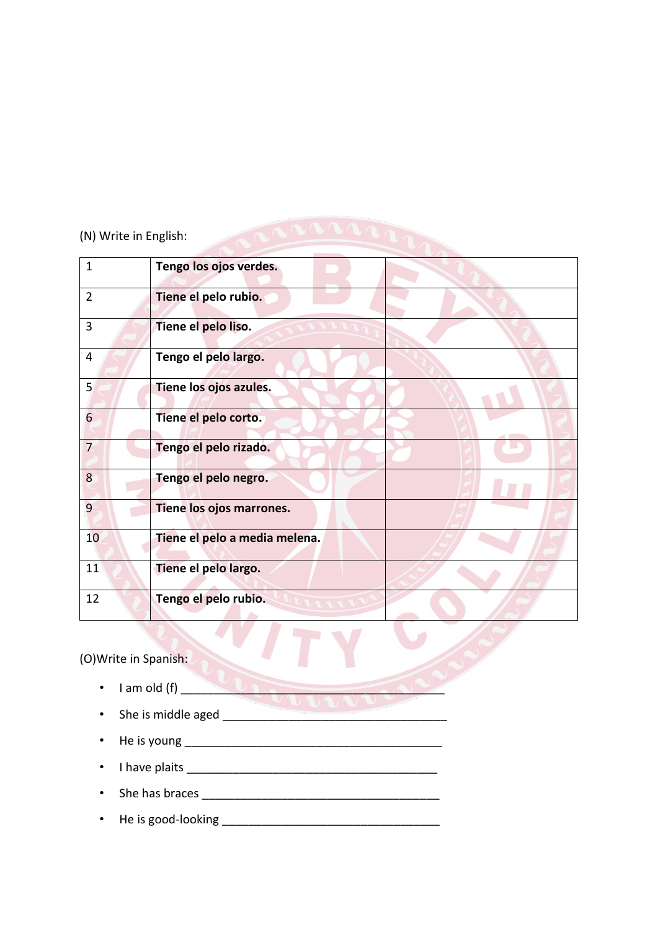# (N) Write in English:

| $\mathbf{1}$   | Tengo los ojos verdes.        |
|----------------|-------------------------------|
| $\overline{2}$ | Tiene el pelo rubio.          |
| 3              | Tiene el pelo liso.           |
| 4              | Tengo el pelo largo.          |
| 5 <sup>1</sup> | Tiene los ojos azules.        |
| 6              | Tiene el pelo corto.          |
| $\overline{7}$ | Tengo el pelo rizado.         |
| 8              | Tengo el pelo negro.          |
| 9              | Tiene los ojos marrones.      |
| 10             | Tiene el pelo a media melena. |
| 11             | Tiene el pelo largo.          |
| 12             | Tengo el pelo rubio.          |

ACCORDINA

(O)Write in Spanish:

- I am old (f)  $\sqrt{2 \cdot 2 \cdot 1}$
- She is middle aged
- He is young \_\_\_\_\_\_\_\_\_\_\_\_\_\_\_\_\_\_\_\_\_\_\_\_\_\_\_\_\_\_\_\_\_\_\_\_\_\_\_
- I have plaits \_\_\_\_\_\_\_\_\_\_\_\_\_\_\_\_\_\_\_\_\_\_\_\_\_\_\_\_\_\_\_\_\_\_\_\_\_\_
- She has braces  $\overline{\phantom{a}}$
- He is good-looking \_\_\_\_\_\_\_\_\_\_\_\_\_\_\_\_\_\_\_\_\_\_\_\_\_\_\_\_\_\_\_\_\_